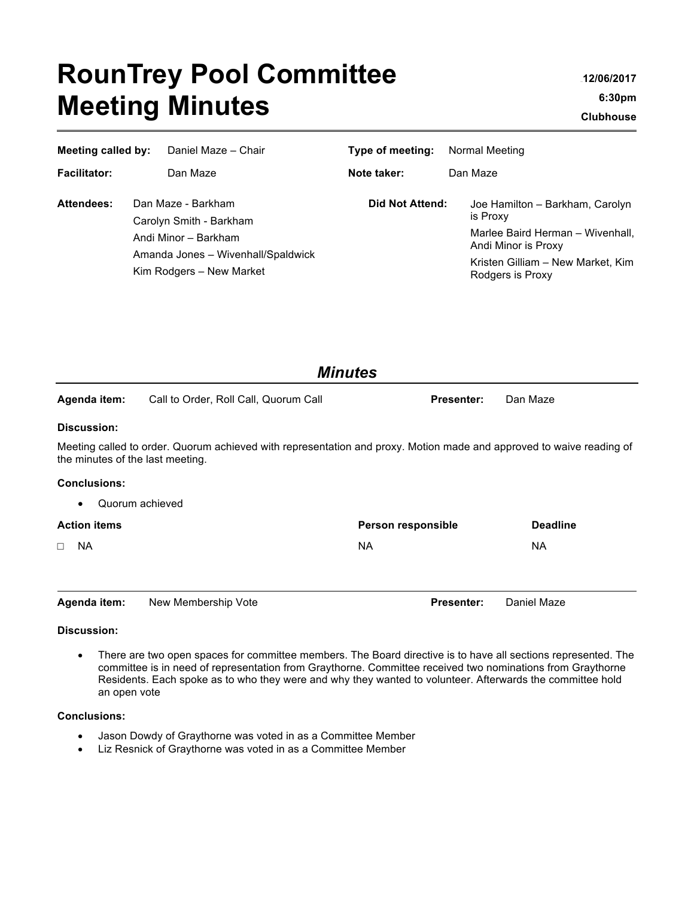# **RounTrey Pool Committee Meeting Minutes**

<sup>3101</sup>**12/06/2017 6:30pm** <sup>3</sup>**Clubhouse**

| Meeting called by:  |                                                                | Daniel Maze - Chair  | Type of meeting: | Normal Meeting |                                                         |
|---------------------|----------------------------------------------------------------|----------------------|------------------|----------------|---------------------------------------------------------|
| <b>Facilitator:</b> |                                                                | Dan Maze             | Note taker:      |                | Dan Maze                                                |
| Attendees:          | Dan Maze - Barkham<br>Carolyn Smith - Barkham                  |                      | Did Not Attend:  |                | Joe Hamilton - Barkham, Carolyn<br>is Proxy             |
|                     |                                                                | Andi Minor - Barkham |                  |                | Marlee Baird Herman - Wivenhall,<br>Andi Minor is Proxy |
|                     | Amanda Jones - Wivenhall/Spaldwick<br>Kim Rodgers - New Market |                      |                  |                | Kristen Gilliam - New Market, Kim<br>Rodgers is Proxy   |

| <b>Minutes</b>                   |                                                                                                                      |                    |                 |  |  |  |  |
|----------------------------------|----------------------------------------------------------------------------------------------------------------------|--------------------|-----------------|--|--|--|--|
| Agenda item:                     | Call to Order, Roll Call, Quorum Call                                                                                | <b>Presenter:</b>  | Dan Maze        |  |  |  |  |
| Discussion:                      |                                                                                                                      |                    |                 |  |  |  |  |
| the minutes of the last meeting. | Meeting called to order. Quorum achieved with representation and proxy. Motion made and approved to waive reading of |                    |                 |  |  |  |  |
| <b>Conclusions:</b>              |                                                                                                                      |                    |                 |  |  |  |  |
|                                  | Quorum achieved                                                                                                      |                    |                 |  |  |  |  |
| <b>Action items</b>              |                                                                                                                      | Person responsible | <b>Deadline</b> |  |  |  |  |
| <b>NA</b><br>$\Box$              |                                                                                                                      | NA.                | <b>NA</b>       |  |  |  |  |
|                                  |                                                                                                                      |                    |                 |  |  |  |  |
| Agenda item:                     | New Membership Vote                                                                                                  | <b>Presenter:</b>  | Daniel Maze     |  |  |  |  |

### **Discussion:**

• There are two open spaces for committee members. The Board directive is to have all sections represented. The committee is in need of representation from Graythorne. Committee received two nominations from Graythorne Residents. Each spoke as to who they were and why they wanted to volunteer. Afterwards the committee hold an open vote

#### **Conclusions:**

- Jason Dowdy of Graythorne was voted in as a Committee Member
- Liz Resnick of Graythorne was voted in as a Committee Member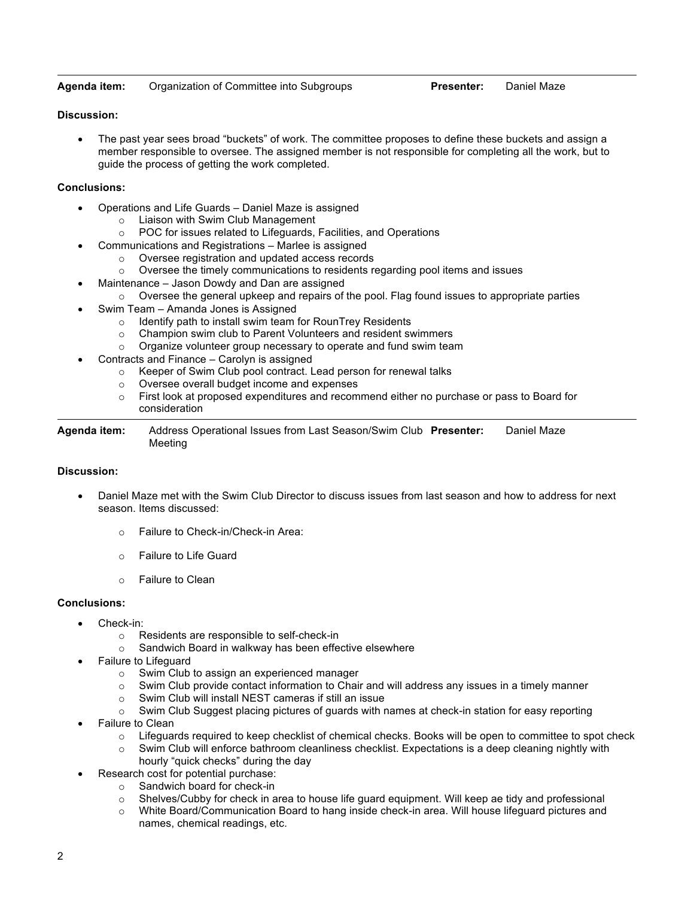#### **Agenda item:** Organization of Committee into Subgroups **Presenter:** Daniel Maze

#### **Discussion:**

• The past year sees broad "buckets" of work. The committee proposes to define these buckets and assign a member responsible to oversee. The assigned member is not responsible for completing all the work, but to guide the process of getting the work completed.

#### **Conclusions:**

- Operations and Life Guards Daniel Maze is assigned
	- o Liaison with Swim Club Management
	- o POC for issues related to Lifeguards, Facilities, and Operations
- Communications and Registrations Marlee is assigned
	- o Oversee registration and updated access records
	- $\circ$  Oversee the timely communications to residents regarding pool items and issues
- Maintenance Jason Dowdy and Dan are assigned
	- $\circ$  Oversee the general upkeep and repairs of the pool. Flag found issues to appropriate parties
- Swim Team Amanda Jones is Assigned
	- o Identify path to install swim team for RounTrey Residents
	- o Champion swim club to Parent Volunteers and resident swimmers
	- o Organize volunteer group necessary to operate and fund swim team
- Contracts and Finance Carolyn is assigned
	- o Keeper of Swim Club pool contract. Lead person for renewal talks
	- o Oversee overall budget income and expenses
	- o First look at proposed expenditures and recommend either no purchase or pass to Board for consideration

**Agenda item:** Address Operational Issues from Last Season/Swim Club **Presenter:** Daniel Maze Meeting

#### **Discussion:**

- Daniel Maze met with the Swim Club Director to discuss issues from last season and how to address for next season. Items discussed:
	- o Failure to Check-in/Check-in Area:
	- o Failure to Life Guard
	- o Failure to Clean

#### **Conclusions:**

- Check-in:
	- o Residents are responsible to self-check-in
	- o Sandwich Board in walkway has been effective elsewhere
- Failure to Lifeguard
	- o Swim Club to assign an experienced manager
	- o Swim Club provide contact information to Chair and will address any issues in a timely manner
	- o Swim Club will install NEST cameras if still an issue
	- o Swim Club Suggest placing pictures of guards with names at check-in station for easy reporting
- Failure to Clean
	- $\circ$  Lifeguards required to keep checklist of chemical checks. Books will be open to committee to spot check
	- $\circ$  Swim Club will enforce bathroom cleanliness checklist. Expectations is a deep cleaning nightly with hourly "quick checks" during the day
- Research cost for potential purchase:
	- o Sandwich board for check-in
	- o Shelves/Cubby for check in area to house life guard equipment. Will keep ae tidy and professional
	- o White Board/Communication Board to hang inside check-in area. Will house lifeguard pictures and names, chemical readings, etc.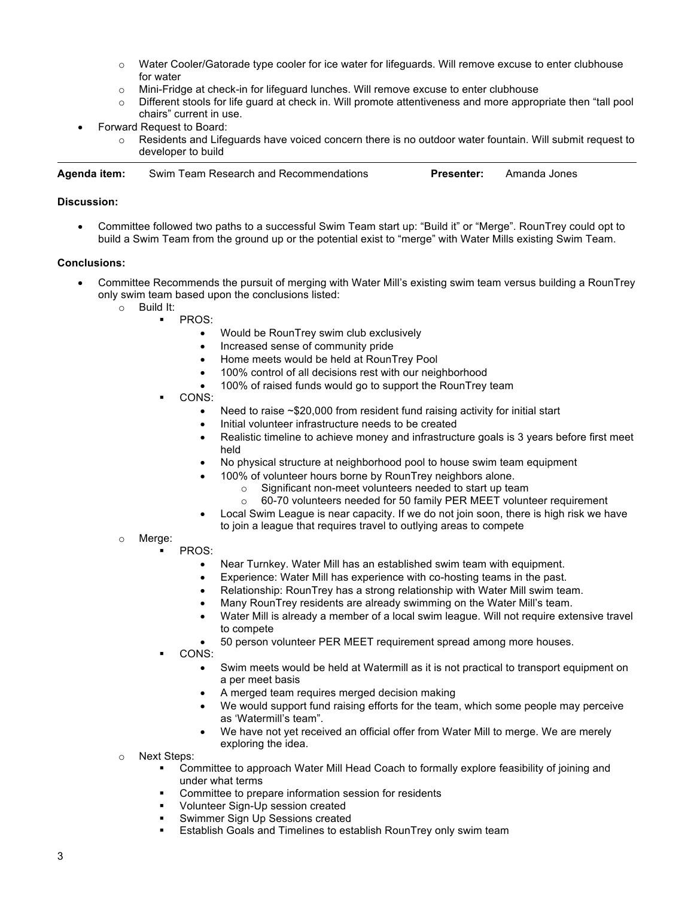- $\circ$  Water Cooler/Gatorade type cooler for ice water for lifeguards. Will remove excuse to enter clubhouse for water
- o Mini-Fridge at check-in for lifeguard lunches. Will remove excuse to enter clubhouse
- o Different stools for life guard at check in. Will promote attentiveness and more appropriate then "tall pool chairs" current in use.
- Forward Request to Board:
	- $\circ$  Residents and Lifeguards have voiced concern there is no outdoor water fountain. Will submit request to developer to build

| Aqenda item: | Swim Team Research and Recommendations | <b>Presenter:</b> | Amanda Jones |
|--------------|----------------------------------------|-------------------|--------------|
|              |                                        |                   |              |

#### **Discussion:**

• Committee followed two paths to a successful Swim Team start up: "Build it" or "Merge". RounTrey could opt to build a Swim Team from the ground up or the potential exist to "merge" with Water Mills existing Swim Team.

#### **Conclusions:**

- Committee Recommends the pursuit of merging with Water Mill's existing swim team versus building a RounTrey only swim team based upon the conclusions listed:
	- o Build It:
		- § PROS:
			- Would be RounTrey swim club exclusively
			- Increased sense of community pride
			- Home meets would be held at RounTrey Pool
			- 100% control of all decisions rest with our neighborhood
			- 100% of raised funds would go to support the RounTrey team
			- § CONS:
				- Need to raise ~\$20,000 from resident fund raising activity for initial start
				- Initial volunteer infrastructure needs to be created
				- Realistic timeline to achieve money and infrastructure goals is 3 years before first meet held
				- No physical structure at neighborhood pool to house swim team equipment
				- 100% of volunteer hours borne by RounTrey neighbors alone.
					- o Significant non-meet volunteers needed to start up team
					- o 60-70 volunteers needed for 50 family PER MEET volunteer requirement
				- Local Swim League is near capacity. If we do not join soon, there is high risk we have
				- to join a league that requires travel to outlying areas to compete
	- o Merge: § PROS:
		- Near Turnkey. Water Mill has an established swim team with equipment.
		- Experience: Water Mill has experience with co-hosting teams in the past.
		- Relationship: RounTrey has a strong relationship with Water Mill swim team.
		- Many RounTrey residents are already swimming on the Water Mill's team.
		- Water Mill is already a member of a local swim league. Will not require extensive travel to compete
		- 50 person volunteer PER MEET requirement spread among more houses.
		- § CONS:
			- Swim meets would be held at Watermill as it is not practical to transport equipment on a per meet basis
			- A merged team requires merged decision making
			- We would support fund raising efforts for the team, which some people may perceive as 'Watermill's team".
			- We have not yet received an official offer from Water Mill to merge. We are merely exploring the idea.
	- o Next Steps:
		- § Committee to approach Water Mill Head Coach to formally explore feasibility of joining and under what terms
		- Committee to prepare information session for residents
		- § Volunteer Sign-Up session created
		- § Swimmer Sign Up Sessions created
		- Establish Goals and Timelines to establish RounTrey only swim team